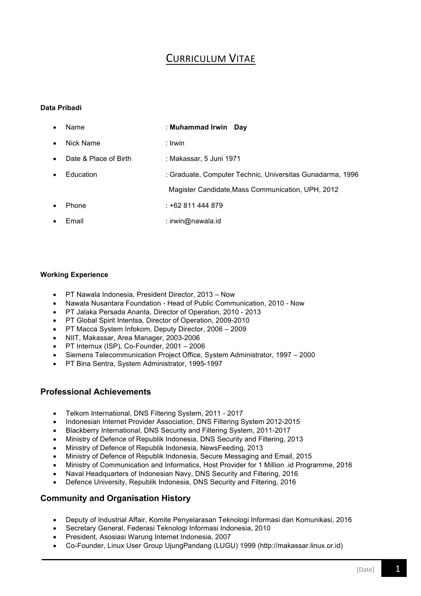# **CURRICULUM VITAE**

### **Data Pribadi**

| $\bullet$ | Name                  | : Muhammad Irwin Day                                      |
|-----------|-----------------------|-----------------------------------------------------------|
| $\bullet$ | Nick Name             | : Irwin                                                   |
| $\bullet$ | Date & Place of Birth | : Makassar, 5 Juni 1971                                   |
| $\bullet$ | Education             | : Graduate, Computer Technic, Universitas Gunadarma, 1996 |
|           |                       | Magister Candidate, Mass Communication, UPH, 2012         |
| $\bullet$ | Phone                 | $: +62811444879$                                          |
| $\bullet$ | Email                 | : irwin@nawala.id                                         |
|           |                       |                                                           |

#### **Working Experience**

- PT Nawala Indonesia, President Director, 2013 Now
- Nawala Nusantara Foundation Head of Public Communication, 2010 Now
- PT Jalaka Persada Ananta, Director of Operation, 2010 2013
- PT Global Spirit Intentsa, Director of Operation, 2009-2010
- PT Macca System Infokom, Deputy Director, 2006 2009
- NIIT, Makassar, Area Manager, 2003-2006
- PT Internux (ISP), Co-Founder, 2001 2006
- Siemens Telecommunication Project Office, System Administrator, 1997 2000
- PT Bina Sentra, System Administrator, 1995-1997

## **Professional Achievements**

- Telkom International, DNS Filtering System, 2011 2017
- Indonesian Internet Provider Association, DNS Filtering System 2012-2015
- Blackberry International, DNS Security and Filtering System, 2011-2017
- Ministry of Defence of Republik Indonesia, DNS Security and Filtering, 2013
- Ministry of Defence of Republik Indonesia, NewsFeeding, 2013
- Ministry of Defence of Republik Indonesia, Secure Messaging and Email, 2015
- Ministry of Communication and Informatics, Host Provider for 1 Million .id Programme, 2016
- Naval Headquarters of Indonesian Navy, DNS Security and Filtering, 2016
- Defence University, Republik Indonesia, DNS Security and Filtering, 2016

#### **Community and Organisation History**

- Deputy of Industrial Affair, Komite Penyelarasan Teknologi Informasi dan Komunikasi, 2016
- Secretary General, Federasi Teknologi Informasi Indonesia, 2010
- President, Asosiasi Warung Internet Indonesia, 2007
- Co-Founder, Linux User Group UjungPandang (LUGU) 1999 (http://makassar.linux.or.id)